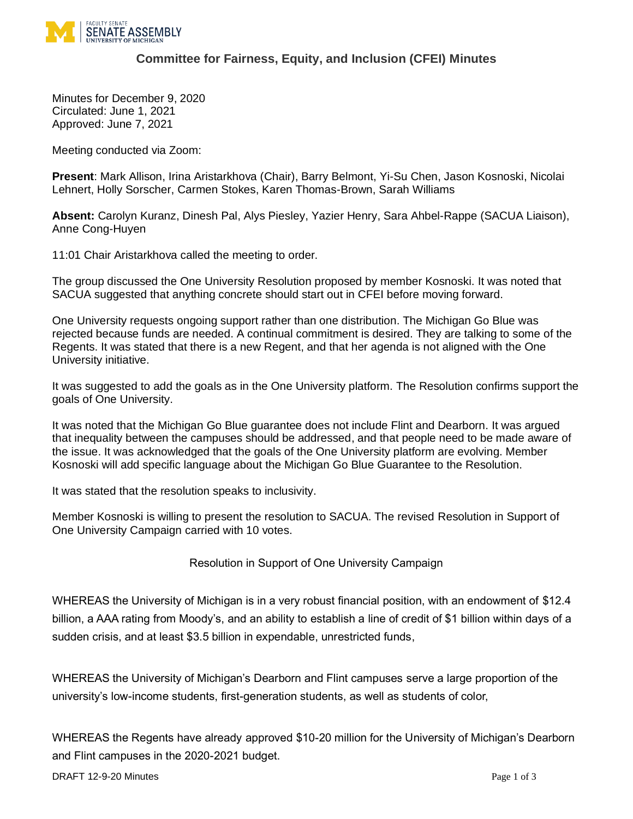

## **Committee for Fairness, Equity, and Inclusion (CFEI) Minutes**

Minutes for December 9, 2020 Circulated: June 1, 2021 Approved: June 7, 2021

Meeting conducted via Zoom:

**Present**: Mark Allison, Irina Aristarkhova (Chair), Barry Belmont, Yi-Su Chen, Jason Kosnoski, Nicolai Lehnert, Holly Sorscher, Carmen Stokes, Karen Thomas-Brown, Sarah Williams

**Absent:** Carolyn Kuranz, Dinesh Pal, Alys Piesley, Yazier Henry, Sara Ahbel-Rappe (SACUA Liaison), Anne Cong-Huyen

11:01 Chair Aristarkhova called the meeting to order.

The group discussed the One University Resolution proposed by member Kosnoski. It was noted that SACUA suggested that anything concrete should start out in CFEI before moving forward.

One University requests ongoing support rather than one distribution. The Michigan Go Blue was rejected because funds are needed. A continual commitment is desired. They are talking to some of the Regents. It was stated that there is a new Regent, and that her agenda is not aligned with the One University initiative.

It was suggested to add the goals as in the One University platform. The Resolution confirms support the goals of One University.

It was noted that the Michigan Go Blue guarantee does not include Flint and Dearborn. It was argued that inequality between the campuses should be addressed, and that people need to be made aware of the issue. It was acknowledged that the goals of the One University platform are evolving. Member Kosnoski will add specific language about the Michigan Go Blue Guarantee to the Resolution.

It was stated that the resolution speaks to inclusivity.

Member Kosnoski is willing to present the resolution to SACUA. The revised Resolution in Support of One University Campaign carried with 10 votes.

Resolution in Support of One University Campaign

WHEREAS the University of Michigan is in a very robust financial position, with an endowment of [\\$12.4](https://news.umich.edu/u-m-endowment-up-500m-after-another-year-of-strong-performance/)  [billion,](https://news.umich.edu/u-m-endowment-up-500m-after-another-year-of-strong-performance/) a [AAA rating from Moody's,](http://www.finance.umich.edu/treasury/debt) and an ability to establish a [line of credit of \\$1 billion](https://record.umich.edu/articles/u-m-will-establish-new-lines-of-credit-up-to-1-billion/) within days of a sudden crisis, and at least [\\$3.5 billion in expendable, unrestricted funds,](https://drive.google.com/file/d/1ixKPNFSIdAHUfK2-Usoj8RR8tWZb8qrD/view?usp=sharing)

WHEREAS the University of Michigan's Dearborn and Flint campuses [serve](https://docs.google.com/document/d/1WJfLBGo8BdoHZeiNpgHrleYA2dTHkE_qJJTozNna4pg/edit?usp=sharing) a large proportion of the university's low-income students, first-generation students, as well as students of color,

WHEREAS the Regents have already [approved \\$10-20 million](https://news.umich.edu/u-m-regents-approve-budget-shaped-by-covid-19-challenges/) for the University of Michigan's Dearborn and Flint campuses in the 2020-2021 budget.

**DRAFT 12-9-20 Minutes**  Page 1 of 3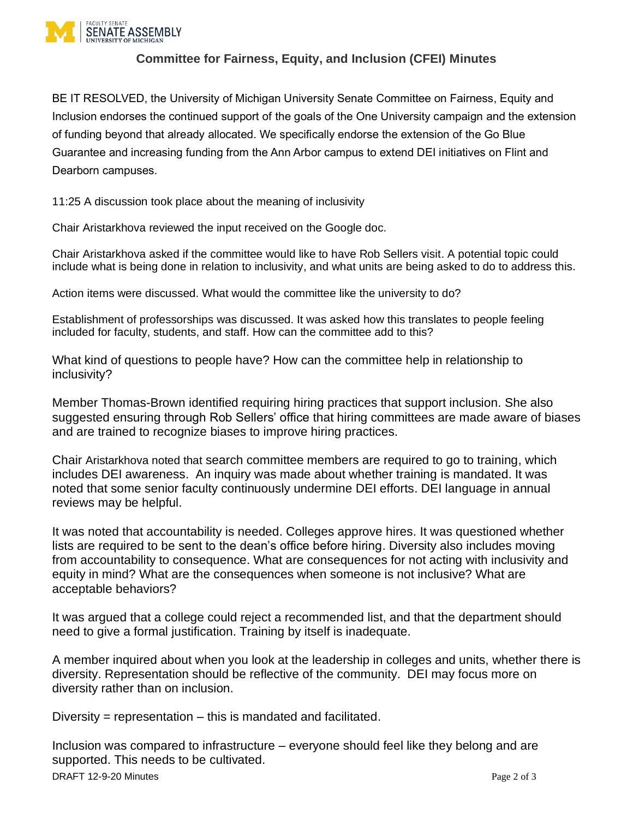

## **Committee for Fairness, Equity, and Inclusion (CFEI) Minutes**

BE IT RESOLVED, the University of Michigan University Senate Committee on Fairness, Equity and Inclusion endorses the continued support of [the goals of the One University campaign](https://docs.google.com/document/d/1WJfLBGo8BdoHZeiNpgHrleYA2dTHkE_qJJTozNna4pg/edit?usp=sharing) and the extension of funding beyond that already allocated. We specifically endorse the extension of the Go Blue Guarantee and increasing funding from the Ann Arbor campus to extend DEI initiatives on Flint and Dearborn campuses.

11:25 A discussion took place about the meaning of inclusivity

Chair Aristarkhova reviewed the input received on the Google doc.

Chair Aristarkhova asked if the committee would like to have Rob Sellers visit. A potential topic could include what is being done in relation to inclusivity, and what units are being asked to do to address this.

Action items were discussed. What would the committee like the university to do?

Establishment of professorships was discussed. It was asked how this translates to people feeling included for faculty, students, and staff. How can the committee add to this?

What kind of questions to people have? How can the committee help in relationship to inclusivity?

Member Thomas-Brown identified requiring hiring practices that support inclusion. She also suggested ensuring through Rob Sellers' office that hiring committees are made aware of biases and are trained to recognize biases to improve hiring practices.

Chair Aristarkhova noted that search committee members are required to go to training, which includes DEI awareness. An inquiry was made about whether training is mandated. It was noted that some senior faculty continuously undermine DEI efforts. DEI language in annual reviews may be helpful.

It was noted that accountability is needed. Colleges approve hires. It was questioned whether lists are required to be sent to the dean's office before hiring. Diversity also includes moving from accountability to consequence. What are consequences for not acting with inclusivity and equity in mind? What are the consequences when someone is not inclusive? What are acceptable behaviors?

It was argued that a college could reject a recommended list, and that the department should need to give a formal justification. Training by itself is inadequate.

A member inquired about when you look at the leadership in colleges and units, whether there is diversity. Representation should be reflective of the community. DEI may focus more on diversity rather than on inclusion.

Diversity = representation  $-$  this is mandated and facilitated.

Inclusion was compared to infrastructure – everyone should feel like they belong and are supported. This needs to be cultivated.

**DRAFT 12-9-20 Minutes** Page 2 of 3